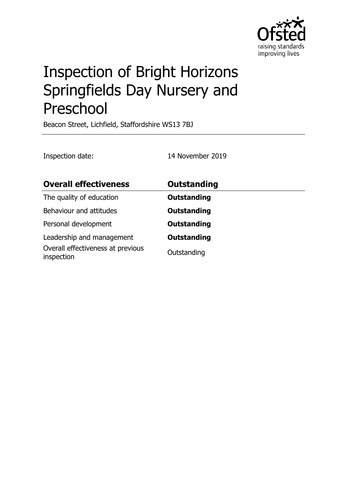

# Inspection of Bright Horizons Springfields Day Nursery and Preschool

Beacon Street, Lichfield, Staffordshire WS13 7BJ

Inspection date: 14 November 2019

| <b>Overall effectiveness</b>                    | <b>Outstanding</b> |
|-------------------------------------------------|--------------------|
| The quality of education                        | <b>Outstanding</b> |
| Behaviour and attitudes                         | <b>Outstanding</b> |
| Personal development                            | <b>Outstanding</b> |
| Leadership and management                       | <b>Outstanding</b> |
| Overall effectiveness at previous<br>inspection | Outstanding        |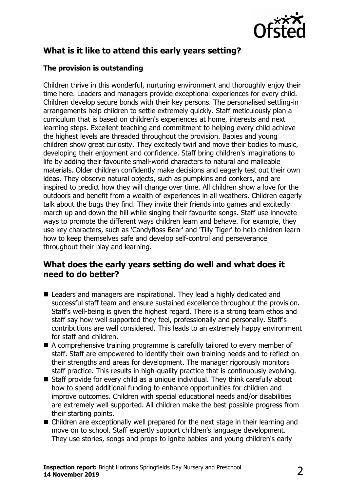

# **What is it like to attend this early years setting?**

#### **The provision is outstanding**

Children thrive in this wonderful, nurturing environment and thoroughly enjoy their time here. Leaders and managers provide exceptional experiences for every child. Children develop secure bonds with their key persons. The personalised settling-in arrangements help children to settle extremely quickly. Staff meticulously plan a curriculum that is based on children's experiences at home, interests and next learning steps. Excellent teaching and commitment to helping every child achieve the highest levels are threaded throughout the provision. Babies and young children show great curiosity. They excitedly twirl and move their bodies to music, developing their enjoyment and confidence. Staff bring children's imaginations to life by adding their favourite small-world characters to natural and malleable materials. Older children confidently make decisions and eagerly test out their own ideas. They observe natural objects, such as pumpkins and conkers, and are inspired to predict how they will change over time. All children show a love for the outdoors and benefit from a wealth of experiences in all weathers. Children eagerly talk about the bugs they find. They invite their friends into games and excitedly march up and down the hill while singing their favourite songs. Staff use innovate ways to promote the different ways children learn and behave. For example, they use key characters, such as 'Candyfloss Bear' and 'Tilly Tiger' to help children learn how to keep themselves safe and develop self-control and perseverance throughout their play and learning.

# **What does the early years setting do well and what does it need to do better?**

- Leaders and managers are inspirational. They lead a highly dedicated and successful staff team and ensure sustained excellence throughout the provision. Staff's well-being is given the highest regard. There is a strong team ethos and staff say how well supported they feel, professionally and personally. Staff's contributions are well considered. This leads to an extremely happy environment for staff and children.
- $\blacksquare$  A comprehensive training programme is carefully tailored to every member of staff. Staff are empowered to identify their own training needs and to reflect on their strengths and areas for development. The manager rigorously monitors staff practice. This results in high-quality practice that is continuously evolving.
- $\blacksquare$  Staff provide for every child as a unique individual. They think carefully about how to spend additional funding to enhance opportunities for children and improve outcomes. Children with special educational needs and/or disabilities are extremely well supported. All children make the best possible progress from their starting points.
- $\blacksquare$  Children are exceptionally well prepared for the next stage in their learning and move on to school. Staff expertly support children's language development. They use stories, songs and props to ignite babies' and young children's early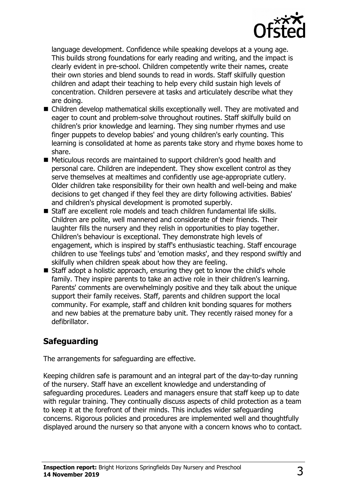

language development. Confidence while speaking develops at a young age. This builds strong foundations for early reading and writing, and the impact is clearly evident in pre-school. Children competently write their names, create their own stories and blend sounds to read in words. Staff skilfully question children and adapt their teaching to help every child sustain high levels of concentration. Children persevere at tasks and articulately describe what they are doing.

- $\blacksquare$  Children develop mathematical skills exceptionally well. They are motivated and eager to count and problem-solve throughout routines. Staff skilfully build on children's prior knowledge and learning. They sing number rhymes and use finger puppets to develop babies' and young children's early counting. This learning is consolidated at home as parents take story and rhyme boxes home to share.
- Meticulous records are maintained to support children's good health and personal care. Children are independent. They show excellent control as they serve themselves at mealtimes and confidently use age-appropriate cutlery. Older children take responsibility for their own health and well-being and make decisions to get changed if they feel they are dirty following activities. Babies' and children's physical development is promoted superbly.
- Staff are excellent role models and teach children fundamental life skills. Children are polite, well mannered and considerate of their friends. Their laughter fills the nursery and they relish in opportunities to play together. Children's behaviour is exceptional. They demonstrate high levels of engagement, which is inspired by staff's enthusiastic teaching. Staff encourage children to use 'feelings tubs' and 'emotion masks', and they respond swiftly and skilfully when children speak about how they are feeling.
- $\blacksquare$  Staff adopt a holistic approach, ensuring they get to know the child's whole family. They inspire parents to take an active role in their children's learning. Parents' comments are overwhelmingly positive and they talk about the unique support their family receives. Staff, parents and children support the local community. For example, staff and children knit bonding squares for mothers and new babies at the premature baby unit. They recently raised money for a defibrillator.

# **Safeguarding**

The arrangements for safeguarding are effective.

Keeping children safe is paramount and an integral part of the day-to-day running of the nursery. Staff have an excellent knowledge and understanding of safeguarding procedures. Leaders and managers ensure that staff keep up to date with regular training. They continually discuss aspects of child protection as a team to keep it at the forefront of their minds. This includes wider safeguarding concerns. Rigorous policies and procedures are implemented well and thoughtfully displayed around the nursery so that anyone with a concern knows who to contact.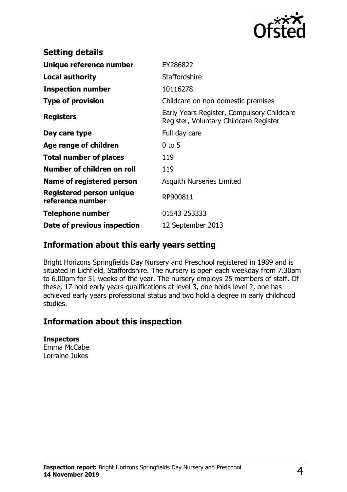

| <b>Setting details</b>                              |                                                                                      |
|-----------------------------------------------------|--------------------------------------------------------------------------------------|
| Unique reference number                             | EY286822                                                                             |
| <b>Local authority</b>                              | Staffordshire                                                                        |
| <b>Inspection number</b>                            | 10116278                                                                             |
| <b>Type of provision</b>                            | Childcare on non-domestic premises                                                   |
| <b>Registers</b>                                    | Early Years Register, Compulsory Childcare<br>Register, Voluntary Childcare Register |
| Day care type                                       | Full day care                                                                        |
| Age range of children                               | $0$ to 5                                                                             |
| <b>Total number of places</b>                       | 119                                                                                  |
| Number of children on roll                          | 119                                                                                  |
| Name of registered person                           | <b>Asquith Nurseries Limited</b>                                                     |
| <b>Registered person unique</b><br>reference number | RP900811                                                                             |
| <b>Telephone number</b>                             | 01543 253333                                                                         |
| Date of previous inspection                         | 12 September 2013                                                                    |

## **Information about this early years setting**

Bright Horizons Springfields Day Nursery and Preschool registered in 1989 and is situated in Lichfield, Staffordshire. The nursery is open each weekday from 7.30am to 6.00pm for 51 weeks of the year. The nursery employs 25 members of staff. Of these, 17 hold early years qualifications at level 3, one holds level 2, one has achieved early years professional status and two hold a degree in early childhood studies.

## **Information about this inspection**

#### **Inspectors**

Emma McCabe Lorraine Jukes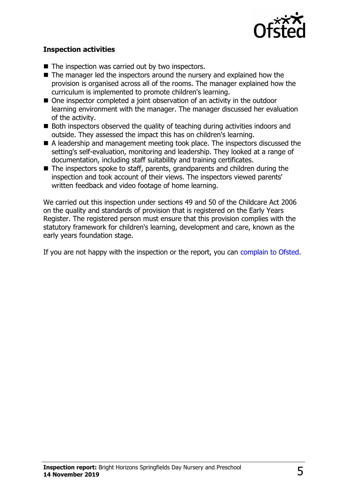

#### **Inspection activities**

- $\blacksquare$  The inspection was carried out by two inspectors.
- $\blacksquare$  The manager led the inspectors around the nursery and explained how the provision is organised across all of the rooms. The manager explained how the curriculum is implemented to promote children's learning.
- $\blacksquare$  One inspector completed a joint observation of an activity in the outdoor learning environment with the manager. The manager discussed her evaluation of the activity.
- Both inspectors observed the quality of teaching during activities indoors and outside. They assessed the impact this has on children's learning.
- $\blacksquare$  A leadership and management meeting took place. The inspectors discussed the setting's self-evaluation, monitoring and leadership. They looked at a range of documentation, including staff suitability and training certificates.
- $\blacksquare$  The inspectors spoke to staff, parents, grandparents and children during the inspection and took account of their views. The inspectors viewed parents' written feedback and video footage of home learning.

We carried out this inspection under sections 49 and 50 of the Childcare Act 2006 on the quality and standards of provision that is registered on the Early Years Register. The registered person must ensure that this provision complies with the statutory framework for children's learning, development and care, known as the early years foundation stage.

If you are not happy with the inspection or the report, you can [complain to Ofsted.](http://www.gov.uk/complain-ofsted-report)